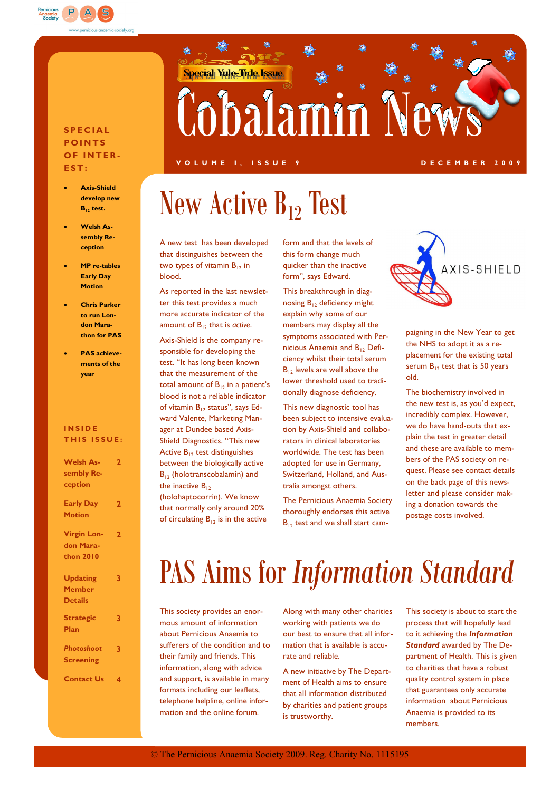

#### **S P E C I A L P O I N T S OF INTER-E S T :**

- **Axis-Shield develop new B<sup>12</sup> test.**
- **Welsh Assembly Reception**
- **MP re-tables Early Day Motion**
- **Chris Parker to run London Marathon for PAS**
- **PAS achievements of the year**

#### **I N S I D E THIS ISSUE:**

| <b>Welsh As-</b><br>sembly Re-<br>ception | $\mathbf{2}$   |                  |   |
|-------------------------------------------|----------------|------------------|---|
|                                           |                | <b>Early Day</b> | 2 |
|                                           |                | <b>Motion</b>    |   |
|                                           |                |                  |   |
| <b>Virgin Lon-</b>                        | $\overline{2}$ |                  |   |
| don Mara-                                 |                |                  |   |
| thon 2010                                 |                |                  |   |
|                                           |                |                  |   |
| <b>Updating</b>                           | 3              |                  |   |
| <b>Member</b>                             |                |                  |   |
| <b>Details</b>                            |                |                  |   |
|                                           |                |                  |   |
| <b>Strategic</b>                          | 3              |                  |   |
| Plan                                      |                |                  |   |
| Photoshoot                                |                |                  |   |
|                                           | 3              |                  |   |
| <b>Screening</b>                          |                |                  |   |
| <b>Contact Us</b>                         | 4              |                  |   |
|                                           |                |                  |   |

# **Special Yule Tide Issue** Cobalamin New

#### **V O L U M E I , I S S U E 9 D E C E M B E R 2 0 0 9**

## New Active  $B_{12}$  Test

A new test has been developed that distinguishes between the two types of vitamin  $B_{12}$  in blood.

As reported in the last newsletter this test provides a much more accurate indicator of the amount of B<sub>12</sub> that is *active*.

Axis-Shield is the company responsible for developing the test. "It has long been known that the measurement of the total amount of  $B_{12}$  in a patient's blood is not a reliable indicator of vitamin  $B_{12}$  status", says Edward Valente, Marketing Manager at Dundee based Axis-Shield Diagnostics. "This new Active  $B_{12}$  test distinguishes between the biologically active B<sub>12</sub> (holotranscobalamin) and the inactive  $B_{12}$ 

(holohaptocorrin). We know that normally only around 20% of circulating  $B_{12}$  is in the active form and that the levels of this form change much quicker than the inactive form", says Edward.

This breakthrough in diagnosing  $B_{12}$  deficiency might explain why some of our members may display all the symptoms associated with Pernicious Anaemia and B<sub>12</sub> Deficiency whilst their total serum  $B_{12}$  levels are well above the lower threshold used to traditionally diagnose deficiency.

This new diagnostic tool has been subject to intensive evaluation by Axis-Shield and collaborators in clinical laboratories worldwide. The test has been adopted for use in Germany, Switzerland, Holland, and Australia amongst others.

The Pernicious Anaemia Society thoroughly endorses this active  $B_{12}$  test and we shall start cam-



paigning in the New Year to get the NHS to adopt it as a replacement for the existing total serum  $B_{12}$  test that is 50 years old.

The biochemistry involved in the new test is, as you"d expect, incredibly complex. However, we do have hand-outs that explain the test in greater detail and these are available to members of the PAS society on request. Please see contact details on the back page of this newsletter and please consider making a donation towards the postage costs involved.

### PAS Aims for *Information Standard*

This society provides an enormous amount of information about Pernicious Anaemia to sufferers of the condition and to their family and friends. This information, along with advice and support, is available in many formats including our leaflets, telephone helpline, online information and the online forum.

Along with many other charities working with patients we do our best to ensure that all information that is available is accurate and reliable.

A new initiative by The Department of Health aims to ensure that all information distributed by charities and patient groups is trustworthy.

This society is about to start the process that will hopefully lead to it achieving the *Information Standard* awarded by The Department of Health. This is given to charities that have a robust quality control system in place that guarantees only accurate information about Pernicious Anaemia is provided to its members.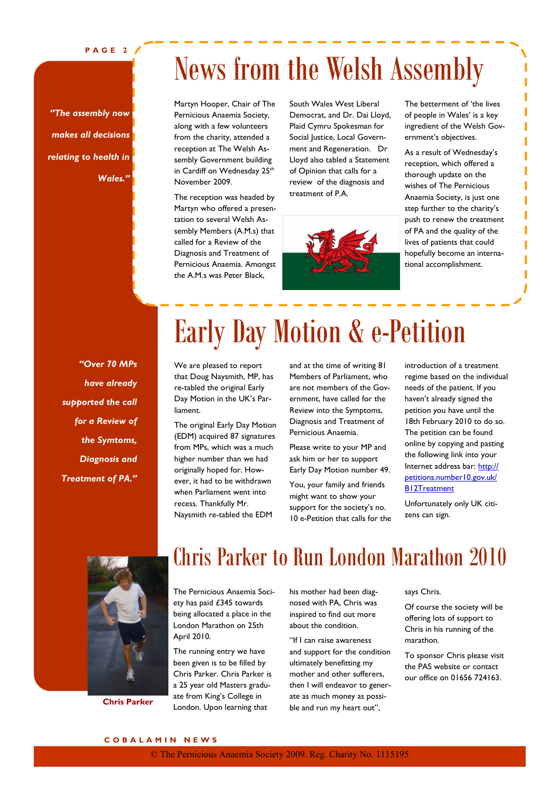**P A G E 2**

### News from the Welsh Assembly

*"The assembly now makes all decisions relating to health in Wales."*

Martyn Hooper, Chair of The Pernicious Anaemia Society, along with a few volunteers from the charity, attended a reception at The Welsh Assembly Government building in Cardiff on Wednesday 25<sup>th</sup> November 2009.

The reception was headed by Martyn who offered a presentation to several Welsh Assembly Members (A.M.s) that called for a Review of the Diagnosis and Treatment of Pernicious Anaemia. Amongst the A.M.s was Peter Black,

South Wales West Liberal Democrat, and Dr. Dai Lloyd, Plaid Cymru Spokesman for Social Justice, Local Government and Regeneration. Dr Lloyd also tabled a Statement of Opinion that calls for a review of the diagnosis and treatment of P.A.



The betterment of "the lives of people in Wales' is a key ingredient of the Welsh Government's objectives.

As a result of Wednesday"s reception, which offered a thorough update on the wishes of The Pernicious Anaemia Society, is just one step further to the charity's push to renew the treatment of PA and the quality of the lives of patients that could hopefully become an international accomplishment.

*"Over 70 MPs have already supported the call for a Review of the Symtoms, Diagnosis and Treatment of PA."*

# Early Day Motion & e-Petition

We are pleased to report that Doug Naysmith, MP, has re-tabled the original Early Day Motion in the UK"s Parliament.

The original Early Day Motion (EDM) acquired 87 signatures from MPs, which was a much higher number than we had originally hoped for. However, it had to be withdrawn when Parliament went into recess. Thankfully Mr. Naysmith re-tabled the EDM

and at the time of writing 81 Members of Parliament, who are not members of the Government, have called for the Review into the Symptoms, Diagnosis and Treatment of Pernicious Anaemia.

Please write to your MP and ask him or her to support Early Day Motion number 49.

You, your family and friends might want to show your support for the society's no. 10 e-Petition that calls for the introduction of a treatment regime based on the individual needs of the patient. If you haven"t already signed the petition you have until the 18th February 2010 to do so. The petition can be found online by copying and pasting the following link into your Internet address bar: http:// petitions.number10.gov.uk/ B12Treatment

Unfortunately only UK citizens can sign.



**Chris Parker**

### Chris Parker to Run London Marathon 2010

The Pernicious Anaemia Society has paid £345 towards being allocated a place in the London Marathon on 25th April 2010.

The running entry we have been given is to be filled by Chris Parker. Chris Parker is a 25 year old Masters graduate from King's College in London. Upon learning that

his mother had been diagnosed with PA, Chris was inspired to find out more about the condition.

"If I can raise awareness and support for the condition ultimately benefitting my mother and other sufferers, then I will endeavor to generate as much money as possible and run my heart out",

#### says Chris.

Of course the society will be offering lots of support to Chris in his running of the marathon.

To sponsor Chris please visit the PAS website or contact our office on 01656 724163.

#### **C O B A L A M I N N E W S**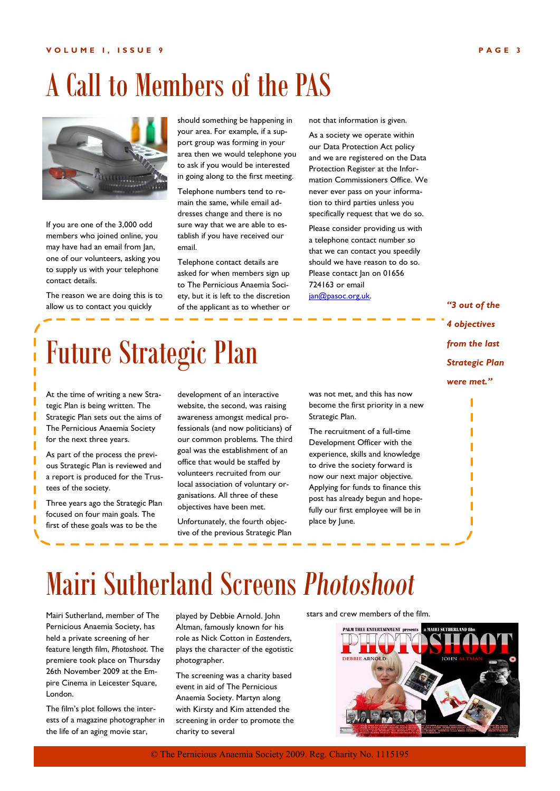### A Call to Members of the PAS



If you are one of the 3,000 odd members who joined online, you may have had an email from Jan, one of our volunteers, asking you to supply us with your telephone contact details.

The reason we are doing this is to allow us to contact you quickly

should something be happening in your area. For example, if a support group was forming in your area then we would telephone you to ask if you would be interested in going along to the first meeting.

Telephone numbers tend to remain the same, while email addresses change and there is no sure way that we are able to establish if you have received our email.

Telephone contact details are asked for when members sign up to The Pernicious Anaemia Society, but it is left to the discretion of the applicant as to whether or

not that information is given.

As a society we operate within our Data Protection Act policy and we are registered on the Data Protection Register at the Information Commissioners Office. We never ever pass on your information to third parties unless you specifically request that we do so.

Please consider providing us with a telephone contact number so that we can contact you speedily should we have reason to do so. Please contact Jan on 01656 724163 or email jan@pasoc.org.uk.

> *"3 out of the 4 objectives from the last Strategic Plan were met."*

> > I

## Future Strategic Plan

At the time of writing a new Strategic Plan is being written. The Strategic Plan sets out the aims of The Pernicious Anaemia Society for the next three years.

As part of the process the previous Strategic Plan is reviewed and a report is produced for the Trustees of the society.

Three years ago the Strategic Plan focused on four main goals. The first of these goals was to be the

development of an interactive website, the second, was raising awareness amongst medical professionals (and now politicians) of our common problems. The third goal was the establishment of an office that would be staffed by volunteers recruited from our local association of voluntary organisations. All three of these objectives have been met.

Unfortunately, the fourth objective of the previous Strategic Plan was not met, and this has now become the first priority in a new Strategic Plan.

The recruitment of a full-time Development Officer with the experience, skills and knowledge to drive the society forward is now our next major objective. Applying for funds to finance this post has already begun and hopefully our first employee will be in place by June.

### Mairi Sutherland Screens *Photoshoot*

Mairi Sutherland, member of The Pernicious Anaemia Society, has held a private screening of her feature length film, *Photoshoot*. The premiere took place on Thursday 26th November 2009 at the Empire Cinema in Leicester Square, London.

The film"s plot follows the interests of a magazine photographer in the life of an aging movie star,

played by Debbie Arnold. John Altman, famously known for his role as Nick Cotton in *Eastenders*, plays the character of the egotistic photographer.

The screening was a charity based event in aid of The Pernicious Anaemia Society. Martyn along with Kirsty and Kim attended the screening in order to promote the charity to several

stars and crew members of the film.



© The Pernicious Anaemia Society 2009. Reg. Charity No. 1115195